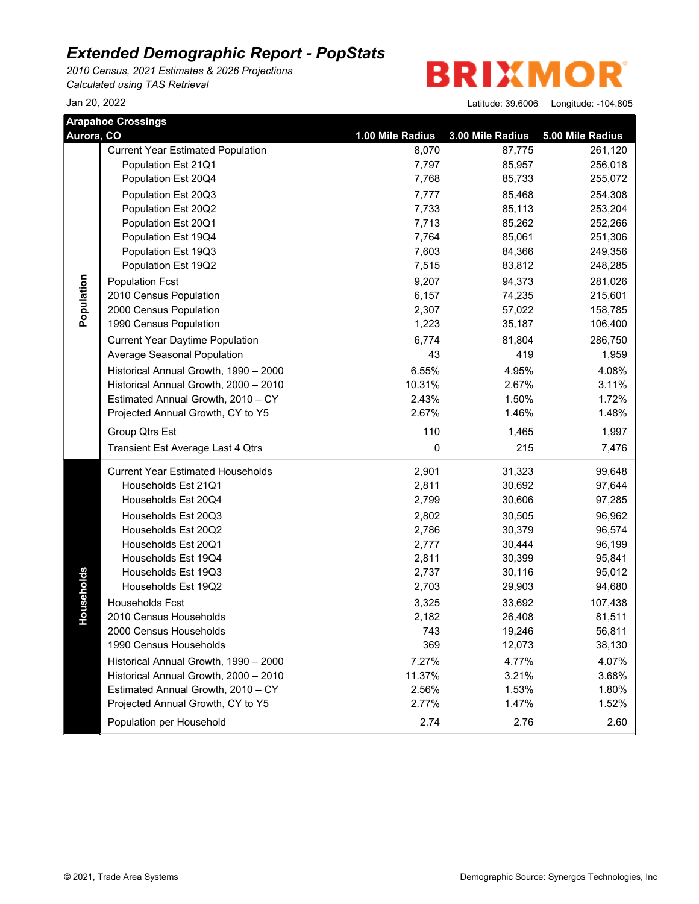*2010 Census, 2021 Estimates & 2026 Projections Calculated using TAS Retrieval*

**BRIXMOR** 

|            | <b>Arapahoe Crossings</b>                |                  |                  |                  |
|------------|------------------------------------------|------------------|------------------|------------------|
| Aurora, CO |                                          | 1.00 Mile Radius | 3.00 Mile Radius | 5.00 Mile Radius |
|            | <b>Current Year Estimated Population</b> | 8,070            | 87,775           | 261,120          |
|            | Population Est 21Q1                      | 7,797            | 85,957           | 256,018          |
|            | Population Est 20Q4                      | 7,768            | 85,733           | 255,072          |
|            | Population Est 20Q3                      | 7,777            | 85,468           | 254,308          |
|            | Population Est 20Q2                      | 7,733            | 85,113           | 253,204          |
|            | Population Est 20Q1                      | 7,713            | 85,262           | 252,266          |
|            | Population Est 19Q4                      | 7,764            | 85,061           | 251,306          |
|            | Population Est 19Q3                      | 7,603            | 84,366           | 249,356          |
|            | Population Est 19Q2                      | 7,515            | 83,812           | 248,285          |
| Population | <b>Population Fcst</b>                   | 9,207            | 94,373           | 281,026          |
|            | 2010 Census Population                   | 6,157            | 74,235           | 215,601          |
|            | 2000 Census Population                   | 2,307            | 57,022           | 158,785          |
|            | 1990 Census Population                   | 1,223            | 35,187           | 106,400          |
|            | <b>Current Year Daytime Population</b>   | 6,774            | 81,804           | 286,750          |
|            | Average Seasonal Population              | 43               | 419              | 1,959            |
|            | Historical Annual Growth, 1990 - 2000    | 6.55%            | 4.95%            | 4.08%            |
|            | Historical Annual Growth, 2000 - 2010    | 10.31%           | 2.67%            | 3.11%            |
|            | Estimated Annual Growth, 2010 - CY       | 2.43%            | 1.50%            | 1.72%            |
|            | Projected Annual Growth, CY to Y5        | 2.67%            | 1.46%            | 1.48%            |
|            | Group Qtrs Est                           | 110              | 1,465            | 1,997            |
|            | Transient Est Average Last 4 Qtrs        | 0                | 215              | 7,476            |
|            | <b>Current Year Estimated Households</b> | 2,901            | 31,323           | 99,648           |
|            | Households Est 21Q1                      | 2,811            | 30,692           | 97,644           |
|            | Households Est 20Q4                      | 2,799            | 30,606           | 97,285           |
|            | Households Est 20Q3                      | 2,802            | 30,505           | 96,962           |
|            | Households Est 20Q2                      | 2,786            | 30,379           | 96,574           |
|            | Households Est 20Q1                      | 2,777            | 30,444           | 96,199           |
|            | Households Est 19Q4                      | 2,811            | 30,399           | 95,841           |
| Households | Households Est 19Q3                      | 2,737            | 30,116           | 95,012           |
|            | Households Est 19Q2                      | 2,703            | 29,903           | 94,680           |
|            | Households Fcst                          | 3,325            | 33,692           | 107,438          |
|            | 2010 Census Households                   | 2,182            | 26,408           | 81,511           |
|            | 2000 Census Households                   | 743              | 19,246           | 56,811           |
|            | 1990 Census Households                   | 369              | 12,073           | 38,130           |
|            | Historical Annual Growth, 1990 - 2000    | 7.27%            | 4.77%            | 4.07%            |
|            | Historical Annual Growth, 2000 - 2010    | 11.37%           | 3.21%            | 3.68%            |
|            | Estimated Annual Growth, 2010 - CY       | 2.56%            | 1.53%            | 1.80%            |
|            | Projected Annual Growth, CY to Y5        | 2.77%            | 1.47%            | 1.52%            |
|            | Population per Household                 | 2.74             | 2.76             | 2.60             |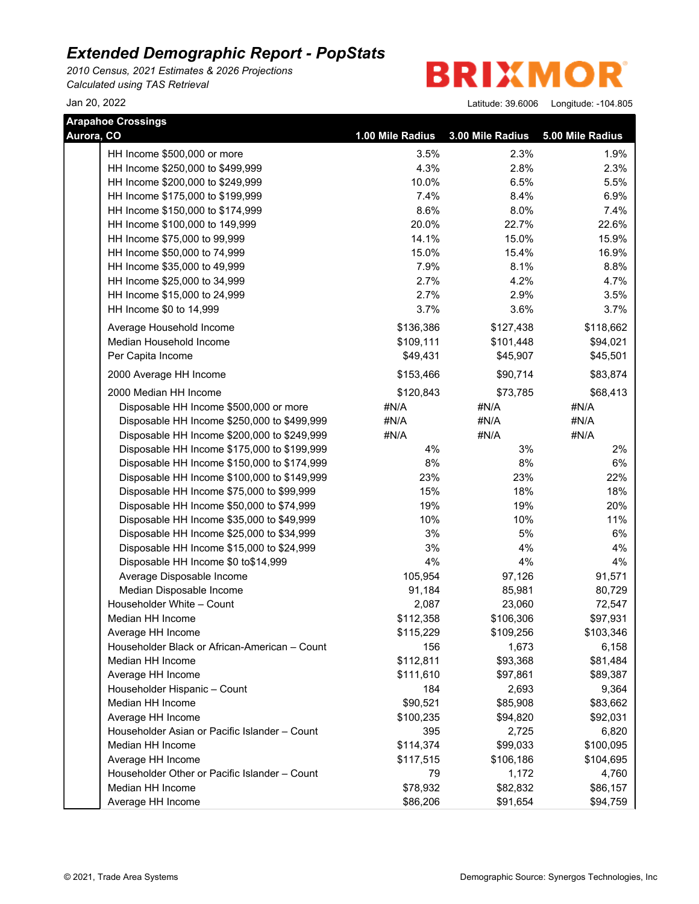*2010 Census, 2021 Estimates & 2026 Projections Calculated using TAS Retrieval*

**BRIXMOR** 

|            | <b>Arapahoe Crossings</b>                     |                  |                  |                  |
|------------|-----------------------------------------------|------------------|------------------|------------------|
| Aurora, CO |                                               | 1.00 Mile Radius | 3.00 Mile Radius | 5.00 Mile Radius |
|            | HH Income \$500,000 or more                   | 3.5%             | 2.3%             | 1.9%             |
|            | HH Income \$250,000 to \$499,999              | 4.3%             | 2.8%             | 2.3%             |
|            | HH Income \$200,000 to \$249,999              | 10.0%            | 6.5%             | 5.5%             |
|            | HH Income \$175,000 to \$199,999              | 7.4%             | 8.4%             | 6.9%             |
|            | HH Income \$150,000 to \$174,999              | 8.6%             | 8.0%             | 7.4%             |
|            | HH Income \$100,000 to 149,999                | 20.0%            | 22.7%            | 22.6%            |
|            | HH Income \$75,000 to 99,999                  | 14.1%            | 15.0%            | 15.9%            |
|            | HH Income \$50,000 to 74,999                  | 15.0%            | 15.4%            | 16.9%            |
|            | HH Income \$35,000 to 49,999                  | 7.9%             | 8.1%             | 8.8%             |
|            | HH Income \$25,000 to 34,999                  | 2.7%             | 4.2%             | 4.7%             |
|            | HH Income \$15,000 to 24,999                  | 2.7%             | 2.9%             | 3.5%             |
|            | HH Income \$0 to 14,999                       | 3.7%             | 3.6%             | 3.7%             |
|            | Average Household Income                      | \$136,386        | \$127,438        | \$118,662        |
|            | Median Household Income                       | \$109,111        | \$101,448        | \$94,021         |
|            | Per Capita Income                             | \$49,431         | \$45,907         | \$45,501         |
|            | 2000 Average HH Income                        | \$153,466        | \$90,714         | \$83,874         |
|            | 2000 Median HH Income                         | \$120,843        | \$73,785         | \$68,413         |
|            | Disposable HH Income \$500,000 or more        | #N/A             | #N/A             | #N/A             |
|            | Disposable HH Income \$250,000 to \$499,999   | #N/A             | #N/A             | #N/A             |
|            | Disposable HH Income \$200,000 to \$249,999   | #N/A             | #N/A             | #N/A             |
|            | Disposable HH Income \$175,000 to \$199,999   | 4%               | 3%               | 2%               |
|            | Disposable HH Income \$150,000 to \$174,999   | 8%               | 8%               | 6%               |
|            | Disposable HH Income \$100,000 to \$149,999   | 23%              | 23%              | 22%              |
|            | Disposable HH Income \$75,000 to \$99,999     | 15%              | 18%              | 18%              |
|            | Disposable HH Income \$50,000 to \$74,999     | 19%              | 19%              | 20%              |
|            | Disposable HH Income \$35,000 to \$49,999     | 10%              | 10%              | 11%              |
|            | Disposable HH Income \$25,000 to \$34,999     | 3%               | 5%               | 6%               |
|            | Disposable HH Income \$15,000 to \$24,999     | 3%               | 4%               | 4%               |
|            | Disposable HH Income \$0 to\$14,999           | 4%               | 4%               | 4%               |
|            | Average Disposable Income                     | 105,954          | 97,126           | 91,571           |
|            | Median Disposable Income                      | 91,184           | 85,981           | 80,729           |
|            | Householder White - Count                     | 2,087            | 23,060           | 72,547           |
|            | Median HH Income                              | \$112,358        | \$106,306        | \$97,931         |
|            | Average HH Income                             | \$115,229        | \$109,256        | \$103,346        |
|            | Householder Black or African-American - Count | 156              | 1,673            | 6,158            |
|            | Median HH Income                              | \$112,811        | \$93,368         | \$81,484         |
|            | Average HH Income                             | \$111,610        | \$97,861         | \$89,387         |
|            | Householder Hispanic - Count                  | 184              | 2,693            | 9,364            |
|            | Median HH Income                              | \$90,521         | \$85,908         | \$83,662         |
|            | Average HH Income                             | \$100,235        | \$94,820         | \$92,031         |
|            | Householder Asian or Pacific Islander - Count | 395              | 2,725            | 6,820            |
|            | Median HH Income                              | \$114,374        | \$99,033         | \$100,095        |
|            | Average HH Income                             | \$117,515        | \$106,186        | \$104,695        |
|            | Householder Other or Pacific Islander - Count | 79               | 1,172            | 4,760            |
|            | Median HH Income                              | \$78,932         | \$82,832         | \$86,157         |
|            | Average HH Income                             | \$86,206         | \$91,654         | \$94,759         |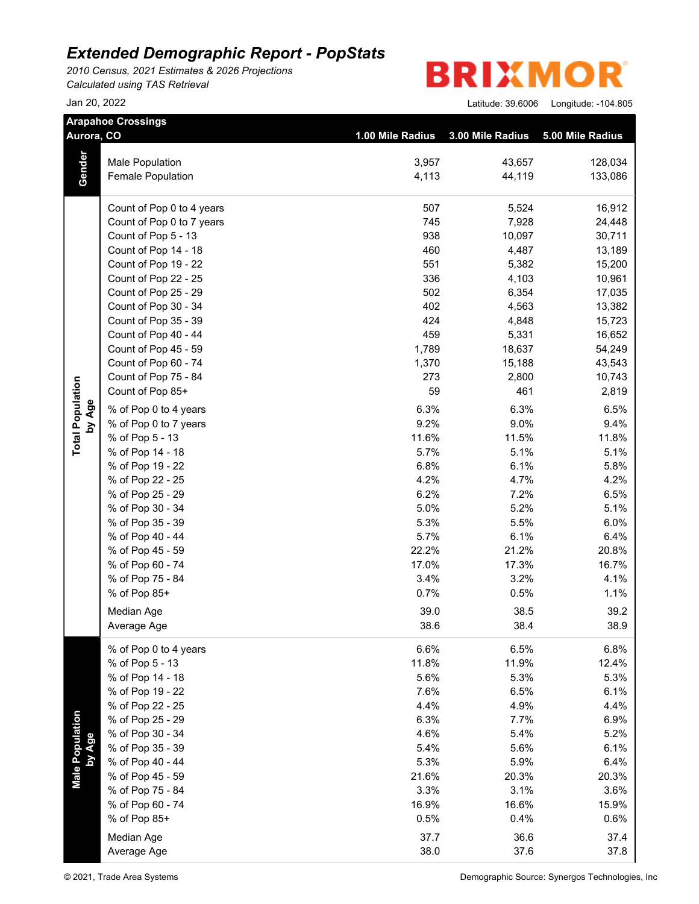*2010 Census, 2021 Estimates & 2026 Projections Calculated using TAS Retrieval*

**BRIXMO** R

| Aurora, CO              | <b>Arapahoe Crossings</b> | 1.00 Mile Radius | 3.00 Mile Radius | 5.00 Mile Radius |
|-------------------------|---------------------------|------------------|------------------|------------------|
|                         | Male Population           | 3,957            | 43,657           | 128,034          |
| Gender                  | Female Population         | 4,113            | 44,119           | 133,086          |
|                         | Count of Pop 0 to 4 years | 507              | 5,524            | 16,912           |
|                         | Count of Pop 0 to 7 years | 745              | 7,928            | 24,448           |
|                         | Count of Pop 5 - 13       | 938              | 10,097           | 30,711           |
|                         | Count of Pop 14 - 18      | 460              | 4,487            | 13,189           |
|                         | Count of Pop 19 - 22      | 551              | 5,382            | 15,200           |
|                         | Count of Pop 22 - 25      | 336              | 4,103            | 10,961           |
|                         | Count of Pop 25 - 29      | 502              | 6,354            | 17,035           |
|                         | Count of Pop 30 - 34      | 402              | 4,563            | 13,382           |
|                         | Count of Pop 35 - 39      | 424              | 4,848            | 15,723           |
|                         | Count of Pop 40 - 44      | 459              | 5,331            | 16,652           |
|                         | Count of Pop 45 - 59      | 1,789            | 18,637           | 54,249           |
|                         | Count of Pop 60 - 74      | 1,370            | 15,188           | 43,543           |
|                         | Count of Pop 75 - 84      | 273              | 2,800            | 10,743           |
|                         | Count of Pop 85+          | 59               | 461              | 2,819            |
| by Age                  | % of Pop 0 to 4 years     | 6.3%             | 6.3%             | 6.5%             |
|                         | % of Pop 0 to 7 years     | 9.2%             | 9.0%             | 9.4%             |
| <b>Total Population</b> | % of Pop 5 - 13           | 11.6%            | 11.5%            | 11.8%            |
|                         | % of Pop 14 - 18          | 5.7%             | 5.1%             | 5.1%             |
|                         | % of Pop 19 - 22          | 6.8%             | 6.1%             | 5.8%             |
|                         | % of Pop 22 - 25          | 4.2%             | 4.7%             | 4.2%             |
|                         | % of Pop 25 - 29          | 6.2%             | 7.2%             | 6.5%             |
|                         | % of Pop 30 - 34          | 5.0%             | 5.2%             | 5.1%             |
|                         | % of Pop 35 - 39          | 5.3%             | 5.5%             | 6.0%             |
|                         | % of Pop 40 - 44          | 5.7%             | 6.1%             | 6.4%             |
|                         | % of Pop 45 - 59          | 22.2%            | 21.2%            | 20.8%            |
|                         | % of Pop 60 - 74          | 17.0%            | 17.3%            | 16.7%            |
|                         | % of Pop 75 - 84          | 3.4%             | 3.2%             | 4.1%             |
|                         | % of Pop 85+              | 0.7%             | 0.5%             | 1.1%             |
|                         | Median Age                | 39.0             | 38.5             | 39.2             |
|                         | Average Age               | 38.6             | 38.4             | 38.9             |
|                         | % of Pop 0 to 4 years     | 6.6%             | 6.5%             | 6.8%             |
|                         | % of Pop 5 - 13           | 11.8%            | 11.9%            | 12.4%            |
|                         | % of Pop 14 - 18          | 5.6%             | 5.3%             | 5.3%             |
|                         | % of Pop 19 - 22          | 7.6%             | 6.5%             | 6.1%             |
|                         | % of Pop 22 - 25          | 4.4%             | 4.9%             | 4.4%             |
|                         | % of Pop 25 - 29          | 6.3%             | 7.7%             | 6.9%             |
|                         | % of Pop 30 - 34          | 4.6%             | 5.4%             | 5.2%             |
| by Age                  | % of Pop 35 - 39          | 5.4%             | 5.6%             | 6.1%             |
|                         | % of Pop 40 - 44          | 5.3%             | 5.9%             | 6.4%             |
| Male Population         | % of Pop 45 - 59          | 21.6%            | 20.3%            | 20.3%            |
|                         | % of Pop 75 - 84          | 3.3%             | 3.1%             | 3.6%             |
|                         | % of Pop 60 - 74          | 16.9%            | 16.6%            | 15.9%            |
|                         | % of Pop 85+              | 0.5%             | 0.4%             | 0.6%             |
|                         | Median Age                | 37.7             | 36.6             | 37.4             |
|                         | Average Age               | 38.0             | 37.6             | 37.8             |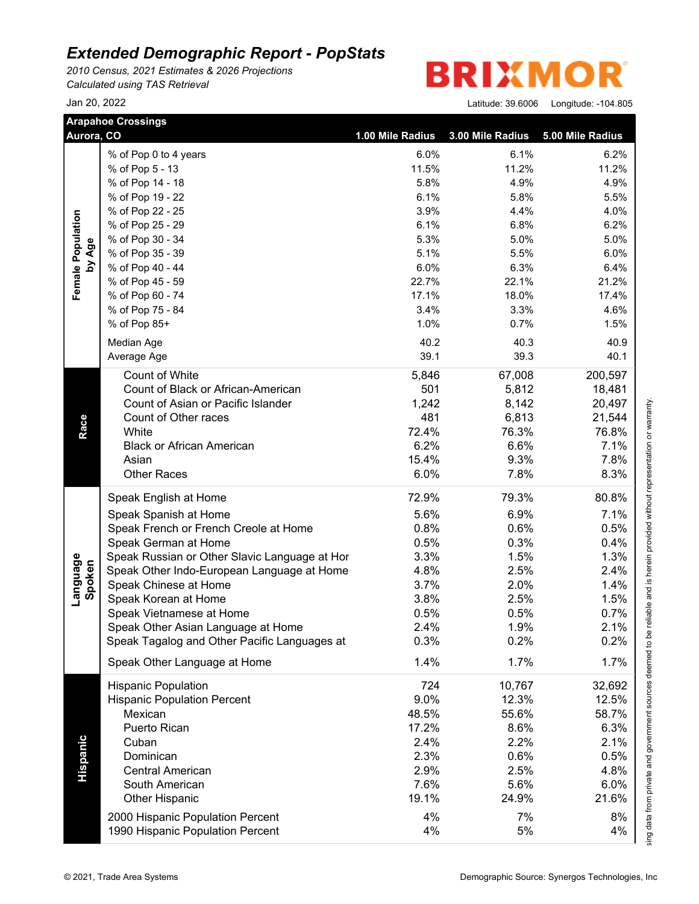*2010 Census, 2021 Estimates & 2026 Projections Calculated using TAS Retrieval*

**BRIXMO** R

| Aurora, CO         | <b>Arapahoe Crossings</b>                     | 1.00 Mile Radius | 3.00 Mile Radius | 5.00 Mile Radius |
|--------------------|-----------------------------------------------|------------------|------------------|------------------|
|                    | % of Pop 0 to 4 years                         | 6.0%             | 6.1%             | 6.2%             |
|                    | % of Pop 5 - 13                               | 11.5%            | 11.2%            | 11.2%            |
|                    | % of Pop 14 - 18                              | 5.8%             | 4.9%             | 4.9%             |
|                    | % of Pop 19 - 22                              | 6.1%             | 5.8%             | 5.5%             |
|                    | % of Pop 22 - 25                              | 3.9%             | 4.4%             | 4.0%             |
| Female Population  | % of Pop 25 - 29                              | 6.1%             | 6.8%             | 6.2%             |
|                    | % of Pop 30 - 34                              | 5.3%             | 5.0%             | 5.0%             |
| by Age             | % of Pop 35 - 39                              | 5.1%             | 5.5%             | 6.0%             |
|                    | % of Pop 40 - 44                              | 6.0%             | 6.3%             | 6.4%             |
|                    | % of Pop 45 - 59                              | 22.7%            | 22.1%            | 21.2%            |
|                    | % of Pop 60 - 74                              | 17.1%            | 18.0%            | 17.4%            |
|                    | % of Pop 75 - 84                              | 3.4%             | 3.3%             | 4.6%             |
|                    | % of Pop 85+                                  | 1.0%             | 0.7%             | 1.5%             |
|                    |                                               |                  |                  |                  |
|                    | Median Age                                    | 40.2             | 40.3             | 40.9             |
|                    | Average Age                                   | 39.1             | 39.3             | 40.1             |
|                    | Count of White                                | 5,846            | 67,008           | 200,597          |
|                    | Count of Black or African-American            | 501              | 5,812            | 18,481           |
|                    | Count of Asian or Pacific Islander            | 1,242            | 8,142            | 20,497           |
|                    | Count of Other races                          | 481              | 6,813            | 21,544           |
| Race               | White                                         | 72.4%            | 76.3%            | 76.8%            |
|                    | <b>Black or African American</b>              | 6.2%             | 6.6%             | 7.1%             |
|                    | Asian                                         | 15.4%            | 9.3%             | 7.8%             |
|                    | <b>Other Races</b>                            | 6.0%             | 7.8%             | 8.3%             |
|                    | Speak English at Home                         | 72.9%            | 79.3%            | 80.8%            |
|                    | Speak Spanish at Home                         | 5.6%             | 6.9%             | 7.1%             |
|                    | Speak French or French Creole at Home         | 0.8%             | 0.6%             | 0.5%             |
|                    | Speak German at Home                          | 0.5%             | 0.3%             | 0.4%             |
|                    | Speak Russian or Other Slavic Language at Hor | 3.3%             | 1.5%             | 1.3%             |
| Language<br>Spoken | Speak Other Indo-European Language at Home    | 4.8%             | 2.5%             | 2.4%             |
|                    | Speak Chinese at Home                         | 3.7%             | 2.0%             | 1.4%             |
|                    | Speak Korean at Home                          | 3.8%             | 2.5%             | 1.5%             |
|                    | Speak Vietnamese at Home                      | 0.5%             | 0.5%             | 0.7%             |
|                    | Speak Other Asian Language at Home            | 2.4%             | 1.9%             | 2.1%             |
|                    | Speak Tagalog and Other Pacific Languages at  | 0.3%             | 0.2%             | 0.2%             |
|                    | Speak Other Language at Home                  | 1.4%             | 1.7%             | 1.7%             |
|                    |                                               |                  |                  |                  |
|                    | <b>Hispanic Population</b>                    | 724              | 10,767           | 32,692           |
|                    | <b>Hispanic Population Percent</b>            | 9.0%             | 12.3%            | 12.5%            |
|                    | Mexican                                       | 48.5%            | 55.6%            | 58.7%            |
|                    | Puerto Rican                                  | 17.2%            | 8.6%             | 6.3%             |
|                    | Cuban                                         | 2.4%             | 2.2%             | 2.1%             |
|                    | Dominican                                     | 2.3%             | 0.6%             | 0.5%             |
| <b>Hispanic</b>    | <b>Central American</b>                       | 2.9%             | 2.5%             | 4.8%             |
|                    | South American                                | 7.6%             | 5.6%             | 6.0%             |
|                    | <b>Other Hispanic</b>                         | 19.1%            | 24.9%            | 21.6%            |
|                    | 2000 Hispanic Population Percent              | 4%               | 7%               | 8%               |
|                    |                                               | 4%               | 5%               | 4%               |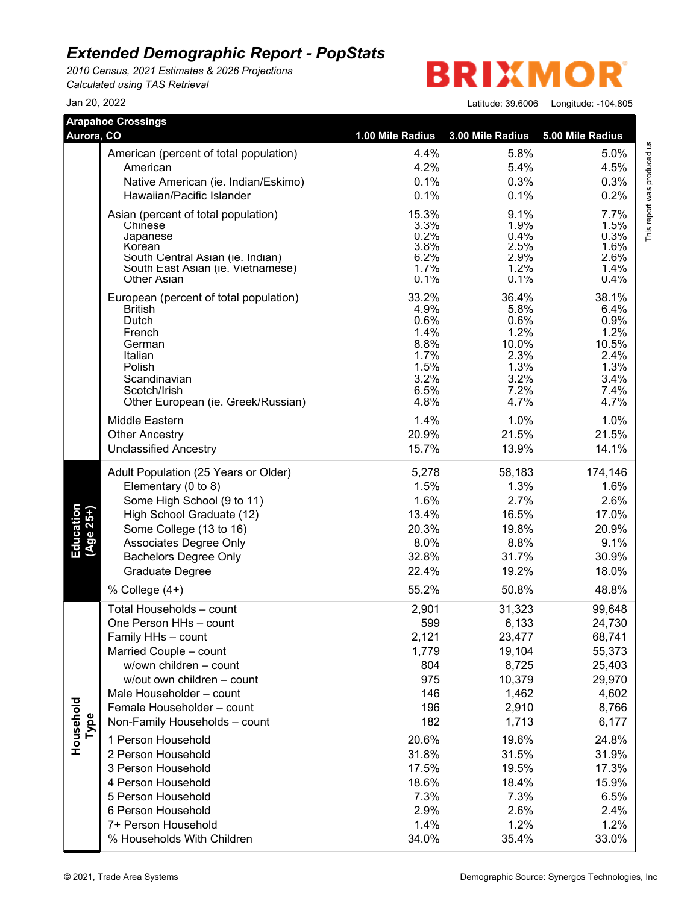*2010 Census, 2021 Estimates & 2026 Projections Calculated using TAS Retrieval*

**BRIXMO** R

Jan 20, 2022 Latitude: 39.6006 Longitude: -104.805

This report was produced us<br>T

| Aurora, CO               | <b>Arapahoe Crossings</b>                                        | 1.00 Mile Radius | 3.00 Mile Radius | 5.00 Mile Radius |                             |
|--------------------------|------------------------------------------------------------------|------------------|------------------|------------------|-----------------------------|
|                          |                                                                  |                  |                  |                  |                             |
|                          | American (percent of total population)                           | 4.4%             | 5.8%             | 5.0%             |                             |
|                          | American                                                         | 4.2%             | 5.4%             | 4.5%             |                             |
|                          | Native American (ie. Indian/Eskimo)<br>Hawaiian/Pacific Islander | 0.1%             | 0.3%             | 0.3%<br>0.2%     |                             |
|                          |                                                                  | 0.1%             | 0.1%             |                  | This report was produced us |
|                          | Asian (percent of total population)                              | 15.3%<br>3.3%    | 9.1%<br>1.9%     | 7.7%<br>1.5%     |                             |
|                          | Chinese<br>Japanese                                              | 0.2%             | 0.4%             | 0.3%             |                             |
|                          | Korean                                                           | 3.8%             | 2.5%             | 1.6%             |                             |
|                          | South Central Asian (ie. Indian)                                 | 6.2%<br>1.7%     | 2.9%<br>1.2%     | 2.6%<br>1.4%     |                             |
|                          | South East Asian (ie. Vietnamese)<br><b>Other Asian</b>          | 0.1%             | 0.1%             | 0.4%             |                             |
|                          | European (percent of total population)                           | 33.2%            | 36.4%            | 38.1%            |                             |
|                          | <b>British</b>                                                   | 4.9%             | 5.8%             | 6.4%             |                             |
|                          | Dutch                                                            | 0.6%             | 0.6%             | 0.9%             |                             |
|                          | French<br>German                                                 | 1.4%<br>8.8%     | 1.2%<br>10.0%    | 1.2%<br>10.5%    |                             |
|                          | Italian                                                          | 1.7%             | 2.3%             | 2.4%             |                             |
|                          | Polish                                                           | 1.5%             | 1.3%             | 1.3%             |                             |
|                          | Scandinavian                                                     | 3.2%             | 3.2%             | 3.4%             |                             |
|                          | Scotch/Irish<br>Other European (ie. Greek/Russian)               | 6.5%<br>4.8%     | 7.2%<br>4.7%     | 7.4%<br>4.7%     |                             |
|                          | Middle Eastern                                                   | 1.4%             | 1.0%             | 1.0%             |                             |
|                          | <b>Other Ancestry</b>                                            | 20.9%            | 21.5%            | 21.5%            |                             |
|                          | <b>Unclassified Ancestry</b>                                     | 15.7%            | 13.9%            | 14.1%            |                             |
|                          |                                                                  |                  |                  |                  |                             |
|                          | Adult Population (25 Years or Older)                             | 5,278<br>1.5%    | 58,183<br>1.3%   | 174,146<br>1.6%  |                             |
|                          | Elementary (0 to 8)<br>Some High School (9 to 11)                | 1.6%             | 2.7%             | 2.6%             |                             |
|                          | High School Graduate (12)                                        | 13.4%            | 16.5%            | 17.0%            |                             |
|                          | Some College (13 to 16)                                          | 20.3%            | 19.8%            | 20.9%            |                             |
| Education<br>$(Age 25+)$ | Associates Degree Only                                           | 8.0%             | 8.8%             | 9.1%             |                             |
|                          | <b>Bachelors Degree Only</b>                                     | 32.8%            | 31.7%            | 30.9%            |                             |
|                          | <b>Graduate Degree</b>                                           | 22.4%            | 19.2%            | 18.0%            |                             |
|                          | % College (4+)                                                   | 55.2%            | 50.8%            | 48.8%            |                             |
|                          | Total Households - count                                         | 2,901            | 31,323           | 99,648           |                             |
|                          | One Person HHs - count                                           | 599              | 6,133            | 24,730           |                             |
|                          | Family HHs - count                                               | 2,121            | 23,477           | 68,741           |                             |
|                          | Married Couple - count                                           | 1,779            | 19,104           | 55,373           |                             |
|                          | w/own children - count                                           | 804              | 8,725            | 25,403           |                             |
|                          | w/out own children - count                                       | 975              | 10,379           | 29,970           |                             |
|                          | Male Householder - count                                         | 146              | 1,462            | 4,602            |                             |
|                          | Female Householder - count                                       | 196              | 2,910            | 8,766            |                             |
| Type                     | Non-Family Households - count                                    | 182              | 1,713            | 6,177            |                             |
| Household                | 1 Person Household                                               | 20.6%            | 19.6%            | 24.8%            |                             |
|                          | 2 Person Household                                               | 31.8%            | 31.5%            | 31.9%            |                             |
|                          | 3 Person Household                                               | 17.5%            | 19.5%            | 17.3%            |                             |
|                          | 4 Person Household                                               | 18.6%            | 18.4%            | 15.9%            |                             |
|                          | 5 Person Household                                               | 7.3%             | 7.3%             | 6.5%             |                             |
|                          | 6 Person Household                                               | 2.9%             | 2.6%             | 2.4%             |                             |
|                          | 7+ Person Household                                              | 1.4%             | 1.2%             | 1.2%             |                             |
|                          | % Households With Children                                       | 34.0%            | 35.4%            | 33.0%            |                             |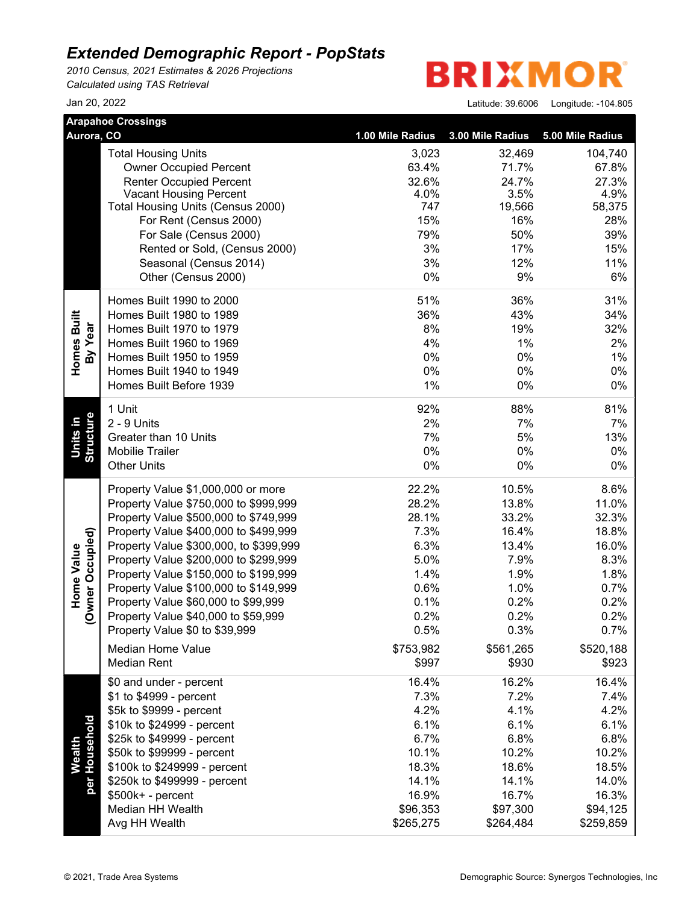*2010 Census, 2021 Estimates & 2026 Projections Calculated using TAS Retrieval*

**BRIXMO** R

|                                | <b>Arapahoe Crossings</b>              |                  |                  |                  |
|--------------------------------|----------------------------------------|------------------|------------------|------------------|
| Aurora, CO                     |                                        | 1.00 Mile Radius | 3.00 Mile Radius | 5.00 Mile Radius |
|                                | <b>Total Housing Units</b>             | 3,023            | 32,469           | 104,740          |
|                                | <b>Owner Occupied Percent</b>          | 63.4%            | 71.7%            | 67.8%            |
|                                | <b>Renter Occupied Percent</b>         | 32.6%            | 24.7%            | 27.3%            |
|                                | <b>Vacant Housing Percent</b>          | 4.0%             | 3.5%             | 4.9%             |
|                                | Total Housing Units (Census 2000)      | 747              | 19,566           | 58,375           |
|                                | For Rent (Census 2000)                 | 15%              | 16%              | 28%              |
|                                | For Sale (Census 2000)                 | 79%              | 50%              | 39%              |
|                                | Rented or Sold, (Census 2000)          | 3%               | 17%              | 15%              |
|                                | Seasonal (Census 2014)                 | 3%               | 12%              | 11%              |
|                                | Other (Census 2000)                    | $0\%$            | 9%               | 6%               |
|                                | Homes Built 1990 to 2000               | 51%              | 36%              | 31%              |
| Homes Built                    | Homes Built 1980 to 1989               | 36%              | 43%              | 34%              |
|                                | Homes Built 1970 to 1979               | 8%               | 19%              | 32%              |
| By Year                        | Homes Built 1960 to 1969               | 4%               | 1%               | 2%               |
|                                | Homes Built 1950 to 1959               | $0\%$            | 0%               | 1%               |
|                                | Homes Built 1940 to 1949               | 0%               | 0%               | 0%               |
|                                | Homes Built Before 1939                | 1%               | 0%               | 0%               |
|                                | 1 Unit                                 | 92%              | 88%              | 81%              |
|                                | 2 - 9 Units                            | 2%               | 7%               | 7%               |
| Structure<br>Units in          | Greater than 10 Units                  | 7%               | 5%               | 13%              |
|                                | Mobilie Trailer                        | 0%               | 0%               | 0%               |
|                                | <b>Other Units</b>                     | $0\%$            | $0\%$            | 0%               |
|                                | Property Value \$1,000,000 or more     | 22.2%            | 10.5%            | 8.6%             |
|                                | Property Value \$750,000 to \$999,999  | 28.2%            | 13.8%            | 11.0%            |
|                                | Property Value \$500,000 to \$749,999  | 28.1%            | 33.2%            | 32.3%            |
|                                | Property Value \$400,000 to \$499,999  | 7.3%             | 16.4%            | 18.8%            |
|                                | Property Value \$300,000, to \$399,999 | 6.3%             | 13.4%            | 16.0%            |
| (Owner Occupied)<br>Home Value | Property Value \$200,000 to \$299,999  | 5.0%             | 7.9%             | 8.3%             |
|                                | Property Value \$150,000 to \$199,999  | 1.4%             | 1.9%             | 1.8%             |
|                                | Property Value \$100,000 to \$149,999  | 0.6%             | 1.0%             | 0.7%             |
|                                | Property Value \$60,000 to \$99,999    | 0.1%             | 0.2%             | 0.2%             |
|                                | Property Value \$40,000 to \$59,999    | 0.2%             | 0.2%             | 0.2%             |
|                                | Property Value \$0 to \$39,999         | 0.5%             | 0.3%             | 0.7%             |
|                                | <b>Median Home Value</b>               | \$753,982        | \$561,265        | \$520,188        |
|                                | <b>Median Rent</b>                     | \$997            | \$930            | \$923            |
|                                | \$0 and under - percent                | 16.4%            | 16.2%            | 16.4%            |
|                                | \$1 to \$4999 - percent                | 7.3%             | 7.2%             | 7.4%             |
|                                | \$5k to \$9999 - percent               | 4.2%             | 4.1%             | 4.2%             |
|                                | \$10k to \$24999 - percent             | 6.1%             | 6.1%             | 6.1%             |
| per Household                  | \$25k to \$49999 - percent             | 6.7%             | 6.8%             | 6.8%             |
| Wealth                         | \$50k to \$99999 - percent             | 10.1%            | 10.2%            | 10.2%            |
|                                | \$100k to \$249999 - percent           | 18.3%            | 18.6%            | 18.5%            |
|                                | \$250k to \$499999 - percent           | 14.1%            | 14.1%            | 14.0%            |
|                                | \$500k+ - percent                      | 16.9%            | 16.7%            | 16.3%            |
|                                | Median HH Wealth                       | \$96,353         | \$97,300         | \$94,125         |
|                                | Avg HH Wealth                          | \$265,275        | \$264,484        | \$259,859        |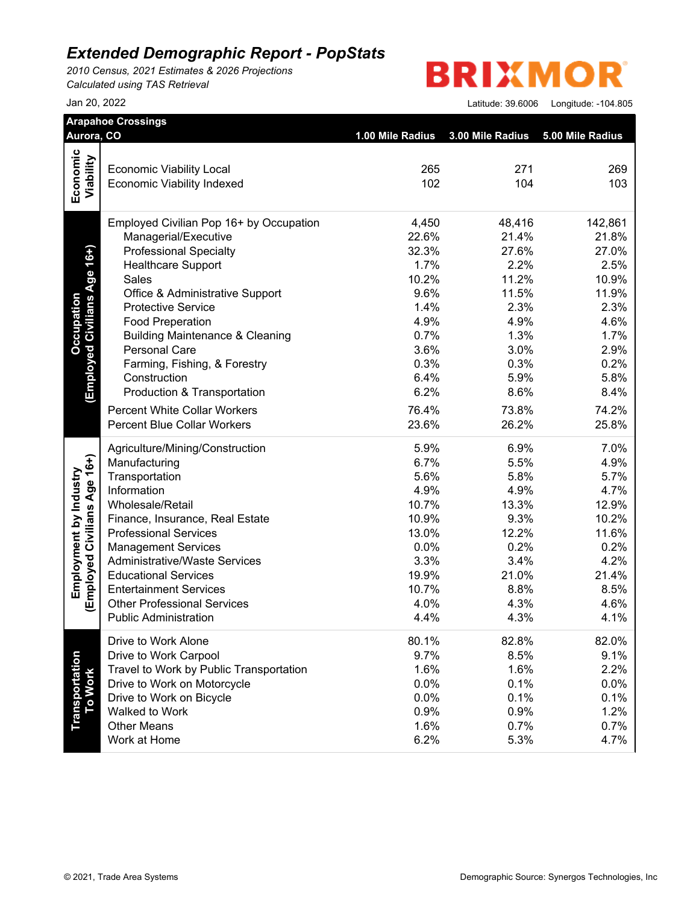*2010 Census, 2021 Estimates & 2026 Projections Calculated using TAS Retrieval*

#### **BRIXMO** R

| Aurora, CO                        |                                                                      |                                   |            |                  |
|-----------------------------------|----------------------------------------------------------------------|-----------------------------------|------------|------------------|
|                                   |                                                                      | 1.00 Mile Radius 3.00 Mile Radius |            | 5.00 Mile Radius |
|                                   |                                                                      |                                   |            |                  |
|                                   | <b>Economic Viability Local</b><br><b>Economic Viability Indexed</b> | 265<br>102                        | 271<br>104 | 269<br>103       |
| Economic<br>Viability             |                                                                      |                                   |            |                  |
|                                   | Employed Civilian Pop 16+ by Occupation                              | 4,450                             | 48,416     | 142,861          |
|                                   | Managerial/Executive                                                 | 22.6%                             | 21.4%      | 21.8%            |
| (Employed Civilians Age 16+)      | <b>Professional Specialty</b>                                        | 32.3%                             | 27.6%      | 27.0%            |
|                                   | <b>Healthcare Support</b>                                            | 1.7%                              | 2.2%       | 2.5%             |
|                                   | Sales                                                                | 10.2%                             | 11.2%      | 10.9%            |
| <b>Occupation</b>                 | Office & Administrative Support                                      | 9.6%                              | 11.5%      | 11.9%            |
|                                   | <b>Protective Service</b>                                            | 1.4%                              | 2.3%       | 2.3%             |
|                                   | <b>Food Preperation</b>                                              | 4.9%                              | 4.9%       | 4.6%             |
|                                   | <b>Building Maintenance &amp; Cleaning</b>                           | 0.7%                              | 1.3%       | 1.7%             |
|                                   | <b>Personal Care</b>                                                 | 3.6%                              | 3.0%       | 2.9%             |
|                                   | Farming, Fishing, & Forestry                                         | 0.3%                              | 0.3%       | 0.2%             |
|                                   | Construction                                                         | 6.4%<br>6.2%                      | 5.9%       | 5.8%             |
|                                   | Production & Transportation                                          |                                   | 8.6%       | 8.4%             |
|                                   | <b>Percent White Collar Workers</b>                                  | 76.4%                             | 73.8%      | 74.2%            |
|                                   | <b>Percent Blue Collar Workers</b>                                   | 23.6%                             | 26.2%      | 25.8%            |
|                                   | Agriculture/Mining/Construction                                      | 5.9%                              | 6.9%       | 7.0%             |
|                                   | Manufacturing                                                        | 6.7%                              | 5.5%       | 4.9%             |
|                                   | Transportation                                                       | 5.6%                              | 5.8%       | 5.7%             |
|                                   | Information                                                          | 4.9%                              | 4.9%       | 4.7%             |
|                                   | Wholesale/Retail                                                     | 10.7%                             | 13.3%      | 12.9%            |
|                                   | Finance, Insurance, Real Estate                                      | 10.9%                             | 9.3%       | 10.2%            |
|                                   | <b>Professional Services</b>                                         | 13.0%                             | 12.2%      | 11.6%            |
|                                   | <b>Management Services</b>                                           | 0.0%                              | 0.2%       | 0.2%             |
| (Employed Civilians Age 16+)      | <b>Administrative/Waste Services</b>                                 | 3.3%                              | 3.4%       | 4.2%             |
|                                   | <b>Educational Services</b>                                          | 19.9%                             | 21.0%      | 21.4%            |
|                                   | <b>Entertainment Services</b>                                        | 10.7%                             | 8.8%       | 8.5%             |
|                                   | <b>Other Professional Services</b>                                   | 4.0%                              | 4.3%       | 4.6%             |
|                                   | <b>Public Administration</b>                                         | 4.4%                              | 4.3%       | 4.1%             |
|                                   | Drive to Work Alone                                                  | 80.1%                             | 82.8%      | 82.0%            |
|                                   | Drive to Work Carpool                                                | 9.7%                              | 8.5%       | 9.1%             |
|                                   | Travel to Work by Public Transportation                              | 1.6%                              | 1.6%       | 2.2%             |
| <b>Transportation<br/>To Work</b> | Drive to Work on Motorcycle                                          | 0.0%                              | 0.1%       | 0.0%             |
|                                   | Drive to Work on Bicycle                                             | 0.0%                              | 0.1%       | 0.1%             |
|                                   | Walked to Work                                                       | 0.9%                              | 0.9%       | 1.2%             |
|                                   | <b>Other Means</b><br>Work at Home                                   | 1.6%                              | 0.7%       | 0.7%             |
|                                   |                                                                      | 6.2%                              | 5.3%       | 4.7%             |